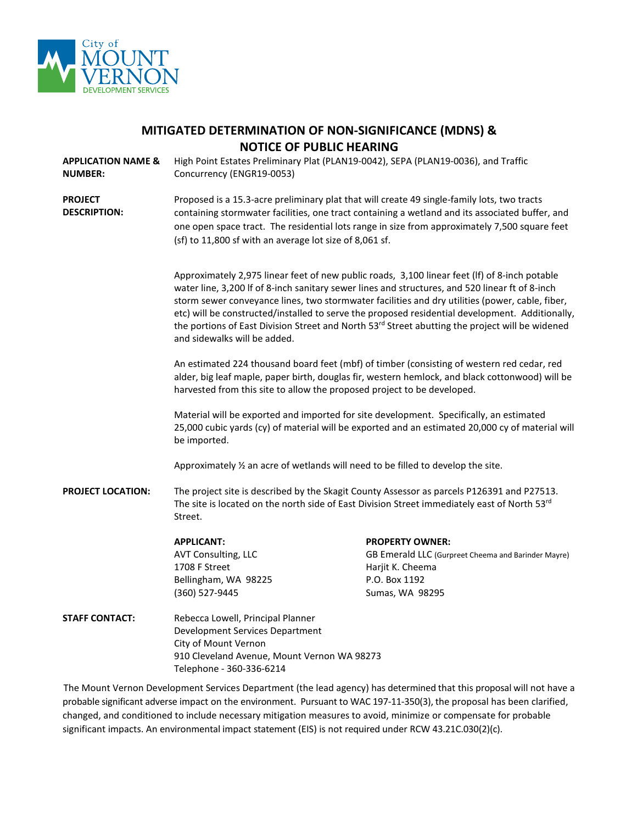

| MITIGATED DETERMINATION OF NON-SIGNIFICANCE (MDNS) & |
|------------------------------------------------------|
| <b>NOTICE OF PUBLIC HEARING</b>                      |

**APPLICATION NAME & NUMBER:** High Point Estates Preliminary Plat (PLAN19-0042), SEPA (PLAN19-0036), and Traffic Concurrency (ENGR19-0053)

**PROJECT DESCRIPTION:** Proposed is a 15.3-acre preliminary plat that will create 49 single-family lots, two tracts containing stormwater facilities, one tract containing a wetland and its associated buffer, and one open space tract. The residential lots range in size from approximately 7,500 square feet (sf) to 11,800 sf with an average lot size of 8,061 sf.

> Approximately 2,975 linear feet of new public roads, 3,100 linear feet (lf) of 8-inch potable water line, 3,200 lf of 8-inch sanitary sewer lines and structures, and 520 linear ft of 8-inch storm sewer conveyance lines, two stormwater facilities and dry utilities (power, cable, fiber, etc) will be constructed/installed to serve the proposed residential development. Additionally, the portions of East Division Street and North 53<sup>rd</sup> Street abutting the project will be widened and sidewalks will be added.

> An estimated 224 thousand board feet (mbf) of timber (consisting of western red cedar, red alder, big leaf maple, paper birth, douglas fir, western hemlock, and black cottonwood) will be harvested from this site to allow the proposed project to be developed.

> Material will be exported and imported for site development. Specifically, an estimated 25,000 cubic yards (cy) of material will be exported and an estimated 20,000 cy of material will be imported.

Approximately ½ an acre of wetlands will need to be filled to develop the site.

**PROJECT LOCATION:** The project site is described by the Skagit County Assessor as parcels P126391 and P27513. The site is located on the north side of East Division Street immediately east of North 53rd Street.

> **APPLICANT: PROPERTY OWNER:** AVT Consulting, LLC **GB Emerald LLC (Gurpreet Cheema and Barinder Mayre)** 1708 F Street Harjit K. Cheema Bellingham, WA 98225 P.O. Box 1192 (360) 527-9445 Sumas, WA 98295

**STAFF CONTACT:** Rebecca Lowell, Principal Planner Development Services Department City of Mount Vernon 910 Cleveland Avenue, Mount Vernon WA 98273 Telephone - 360-336-6214

The Mount Vernon Development Services Department (the lead agency) has determined that this proposal will not have a probable significant adverse impact on the environment. Pursuant to WAC 197-11-350(3), the proposal has been clarified, changed, and conditioned to include necessary mitigation measures to avoid, minimize or compensate for probable significant impacts. An environmental impact statement (EIS) is not required under RCW 43.21C.030(2)(c).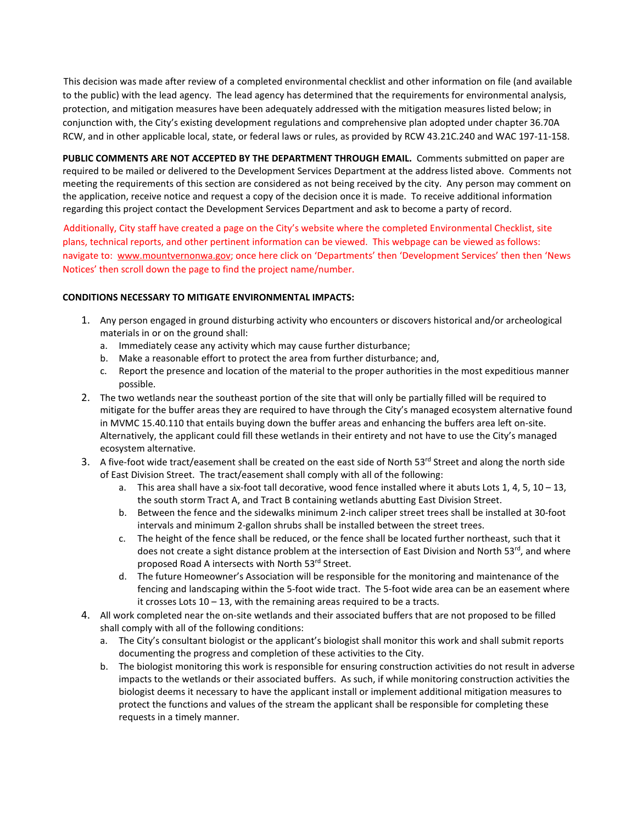This decision was made after review of a completed environmental checklist and other information on file (and available to the public) with the lead agency. The lead agency has determined that the requirements for environmental analysis, protection, and mitigation measures have been adequately addressed with the mitigation measures listed below; in conjunction with, the City's existing development regulations and comprehensive plan adopted under chapter 36.70A RCW, and in other applicable local, state, or federal laws or rules, as provided by RCW 43.21C.240 and WAC 197-11-158.

**PUBLIC COMMENTS ARE NOT ACCEPTED BY THE DEPARTMENT THROUGH EMAIL.** Comments submitted on paper are required to be mailed or delivered to the Development Services Department at the address listed above. Comments not meeting the requirements of this section are considered as not being received by the city. Any person may comment on the application, receive notice and request a copy of the decision once it is made. To receive additional information regarding this project contact the Development Services Department and ask to become a party of record.

Additionally, City staff have created a page on the City's website where the completed Environmental Checklist, site plans, technical reports, and other pertinent information can be viewed. This webpage can be viewed as follows: navigate to: [www.mountvernonwa.gov;](http://www.mountvernonwa.gov/) once here click on 'Departments' then 'Development Services' then then 'News Notices' then scroll down the page to find the project name/number.

#### **CONDITIONS NECESSARY TO MITIGATE ENVIRONMENTAL IMPACTS:**

- 1. Any person engaged in ground disturbing activity who encounters or discovers historical and/or archeological materials in or on the ground shall:
	- a. Immediately cease any activity which may cause further disturbance;
	- b. Make a reasonable effort to protect the area from further disturbance; and,
	- c. Report the presence and location of the material to the proper authorities in the most expeditious manner possible.
- 2. The two wetlands near the southeast portion of the site that will only be partially filled will be required to mitigate for the buffer areas they are required to have through the City's managed ecosystem alternative found in MVMC 15.40.110 that entails buying down the buffer areas and enhancing the buffers area left on-site. Alternatively, the applicant could fill these wetlands in their entirety and not have to use the City's managed ecosystem alternative.
- 3. A five-foot wide tract/easement shall be created on the east side of North 53<sup>rd</sup> Street and along the north side of East Division Street. The tract/easement shall comply with all of the following:
	- a. This area shall have a six-foot tall decorative, wood fence installed where it abuts Lots 1, 4, 5, 10 13, the south storm Tract A, and Tract B containing wetlands abutting East Division Street.
	- b. Between the fence and the sidewalks minimum 2-inch caliper street trees shall be installed at 30-foot intervals and minimum 2-gallon shrubs shall be installed between the street trees.
	- c. The height of the fence shall be reduced, or the fence shall be located further northeast, such that it does not create a sight distance problem at the intersection of East Division and North 53<sup>rd</sup>, and where proposed Road A intersects with North 53rd Street.
	- d. The future Homeowner's Association will be responsible for the monitoring and maintenance of the fencing and landscaping within the 5-foot wide tract. The 5-foot wide area can be an easement where it crosses Lots 10 – 13, with the remaining areas required to be a tracts.
- 4. All work completed near the on-site wetlands and their associated buffers that are not proposed to be filled shall comply with all of the following conditions:
	- a. The City's consultant biologist or the applicant's biologist shall monitor this work and shall submit reports documenting the progress and completion of these activities to the City.
	- b. The biologist monitoring this work is responsible for ensuring construction activities do not result in adverse impacts to the wetlands or their associated buffers. As such, if while monitoring construction activities the biologist deems it necessary to have the applicant install or implement additional mitigation measures to protect the functions and values of the stream the applicant shall be responsible for completing these requests in a timely manner.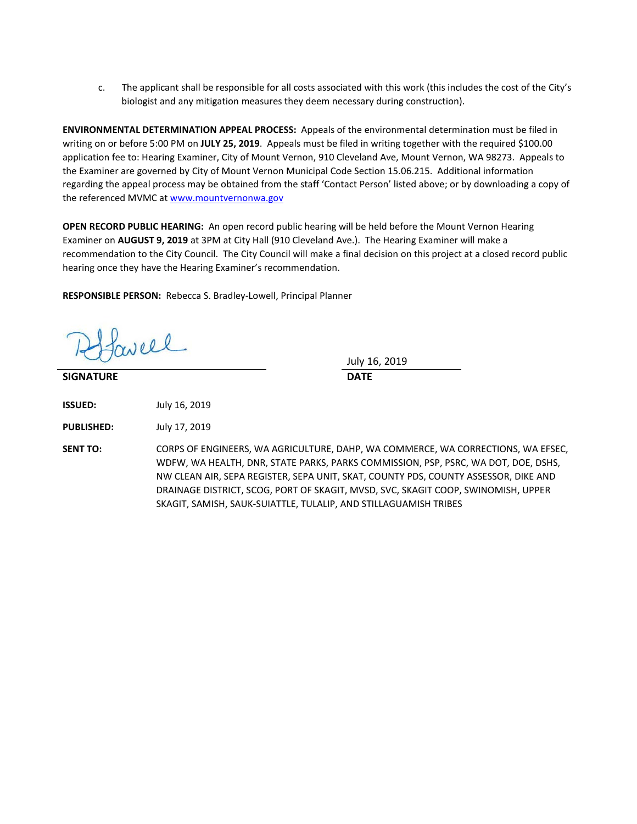c. The applicant shall be responsible for all costs associated with this work (this includes the cost of the City's biologist and any mitigation measures they deem necessary during construction).

**ENVIRONMENTAL DETERMINATION APPEAL PROCESS:** Appeals of the environmental determination must be filed in writing on or before 5:00 PM on **JULY 25, 2019**. Appeals must be filed in writing together with the required \$100.00 application fee to: Hearing Examiner, City of Mount Vernon, 910 Cleveland Ave, Mount Vernon, WA 98273. Appeals to the Examiner are governed by City of Mount Vernon Municipal Code Section 15.06.215. Additional information regarding the appeal process may be obtained from the staff 'Contact Person' listed above; or by downloading a copy of the referenced MVMC at [www.mountvernonwa.gov](http://www.mountvernonwa.gov/) 

**OPEN RECORD PUBLIC HEARING:** An open record public hearing will be held before the Mount Vernon Hearing Examiner on **AUGUST 9, 2019** at 3PM at City Hall (910 Cleveland Ave.). The Hearing Examiner will make a recommendation to the City Council. The City Council will make a final decision on this project at a closed record public hearing once they have the Hearing Examiner's recommendation.

**RESPONSIBLE PERSON:** Rebecca S. Bradley-Lowell, Principal Planner

aveel

**SIGNATURE DATE**

July 16, 2019

**ISSUED:** July 16, 2019

**PUBLISHED:** July 17, 2019

**SENT TO:** CORPS OF ENGINEERS, WA AGRICULTURE, DAHP, WA COMMERCE, WA CORRECTIONS, WA EFSEC, WDFW, WA HEALTH, DNR, STATE PARKS, PARKS COMMISSION, PSP, PSRC, WA DOT, DOE, DSHS, NW CLEAN AIR, SEPA REGISTER, SEPA UNIT, SKAT, COUNTY PDS, COUNTY ASSESSOR, DIKE AND DRAINAGE DISTRICT, SCOG, PORT OF SKAGIT, MVSD, SVC, SKAGIT COOP, SWINOMISH, UPPER SKAGIT, SAMISH, SAUK-SUIATTLE, TULALIP, AND STILLAGUAMISH TRIBES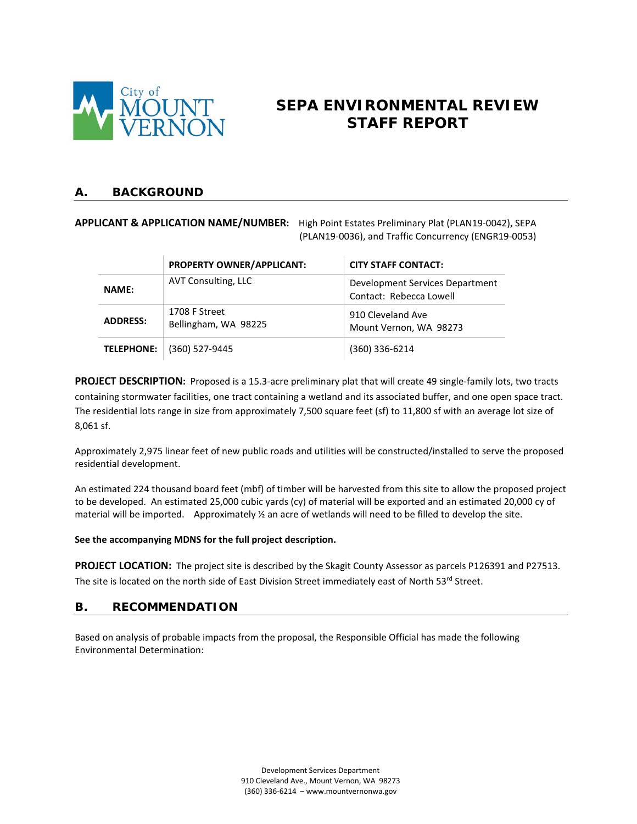

# **SEPA ENVIRONMENTAL REVIEW STAFF REPORT**

#### **A. BACKGROUND**

#### **APPLICANT & APPLICATION NAME/NUMBER:** High Point Estates Preliminary Plat (PLAN19-0042), SEPA (PLAN19-0036), and Traffic Concurrency (ENGR19-0053)

|                   | PROPERTY OWNER/APPLICANT:             | <b>CITY STAFF CONTACT:</b>                                 |  |
|-------------------|---------------------------------------|------------------------------------------------------------|--|
| <b>NAME:</b>      | AVT Consulting, LLC                   | Development Services Department<br>Contact: Rebecca Lowell |  |
| <b>ADDRESS:</b>   | 1708 F Street<br>Bellingham, WA 98225 | 910 Cleveland Ave<br>Mount Vernon, WA 98273                |  |
| <b>TELEPHONE:</b> | (360) 527-9445                        | $(360)$ 336-6214                                           |  |

**PROJECT DESCRIPTION:** Proposed is a 15.3-acre preliminary plat that will create 49 single-family lots, two tracts containing stormwater facilities, one tract containing a wetland and its associated buffer, and one open space tract. The residential lots range in size from approximately 7,500 square feet (sf) to 11,800 sf with an average lot size of 8,061 sf.

Approximately 2,975 linear feet of new public roads and utilities will be constructed/installed to serve the proposed residential development.

An estimated 224 thousand board feet (mbf) of timber will be harvested from this site to allow the proposed project to be developed. An estimated 25,000 cubic yards (cy) of material will be exported and an estimated 20,000 cy of material will be imported. Approximately ½ an acre of wetlands will need to be filled to develop the site.

#### **See the accompanying MDNS for the full project description.**

**PROJECT LOCATION:** The project site is described by the Skagit County Assessor as parcels P126391 and P27513. The site is located on the north side of East Division Street immediately east of North 53rd Street.

#### **B. RECOMMENDATION**

Based on analysis of probable impacts from the proposal, the Responsible Official has made the following Environmental Determination: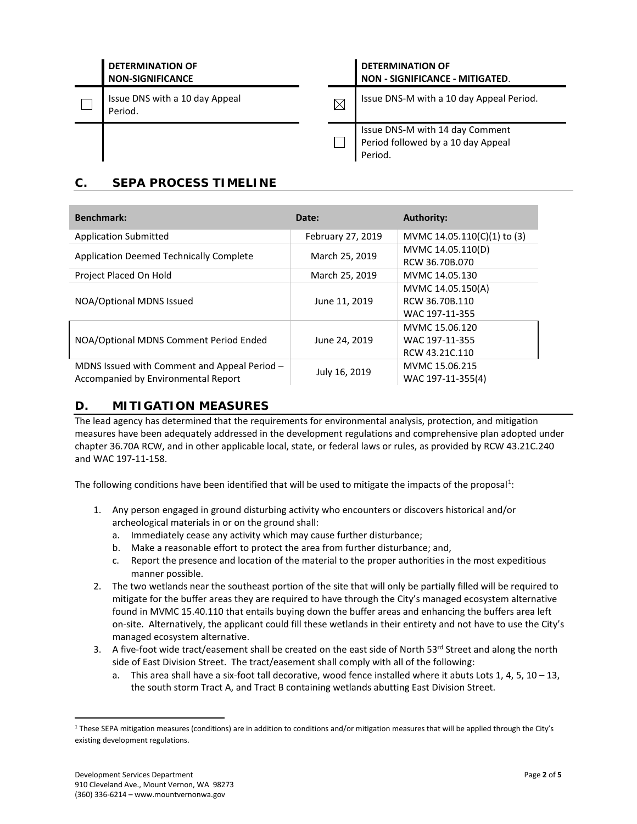| <b>DETERMINATION OF</b><br><b>NON-SIGNIFICANCE</b> |             | <b>DETERMINATION OF</b><br><b>NON - SIGNIFICANCE - MITIGATED.</b>                |  |
|----------------------------------------------------|-------------|----------------------------------------------------------------------------------|--|
| Issue DNS with a 10 day Appeal<br>Period.          | $\boxtimes$ | Issue DNS-M with a 10 day Appeal Period.                                         |  |
|                                                    |             | Issue DNS-M with 14 day Comment<br>Period followed by a 10 day Appeal<br>Period. |  |

# **C. SEPA PROCESS TIMELINE**

| <b>Benchmark:</b>                                                                   | Date:             | <b>Authority:</b>                                     |
|-------------------------------------------------------------------------------------|-------------------|-------------------------------------------------------|
| <b>Application Submitted</b>                                                        | February 27, 2019 | MVMC 14.05.110(C)(1) to (3)                           |
| <b>Application Deemed Technically Complete</b>                                      | March 25, 2019    | MVMC 14.05.110(D)<br>RCW 36.70B.070                   |
| Project Placed On Hold                                                              | March 25, 2019    | MVMC 14.05.130                                        |
| NOA/Optional MDNS Issued                                                            | June 11, 2019     | MVMC 14.05.150(A)<br>RCW 36.70B.110<br>WAC 197-11-355 |
| NOA/Optional MDNS Comment Period Ended                                              | June 24, 2019     | MVMC 15.06.120<br>WAC 197-11-355<br>RCW 43.21C.110    |
| MDNS Issued with Comment and Appeal Period -<br>Accompanied by Environmental Report | July 16, 2019     | MVMC 15.06.215<br>WAC 197-11-355(4)                   |

## **D. MITIGATION MEASURES**

The lead agency has determined that the requirements for environmental analysis, protection, and mitigation measures have been adequately addressed in the development regulations and comprehensive plan adopted under chapter 36.70A RCW, and in other applicable local, state, or federal laws or rules, as provided by RCW 43.21C.240 and WAC 197-11-158.

The following conditions have been identified that will be used to mitigate the impacts of the proposal<sup>[1](#page-4-0)</sup>:

- 1. Any person engaged in ground disturbing activity who encounters or discovers historical and/or archeological materials in or on the ground shall:
	- a. Immediately cease any activity which may cause further disturbance;
	- b. Make a reasonable effort to protect the area from further disturbance; and,
	- c. Report the presence and location of the material to the proper authorities in the most expeditious manner possible.
- 2. The two wetlands near the southeast portion of the site that will only be partially filled will be required to mitigate for the buffer areas they are required to have through the City's managed ecosystem alternative found in MVMC 15.40.110 that entails buying down the buffer areas and enhancing the buffers area left on-site. Alternatively, the applicant could fill these wetlands in their entirety and not have to use the City's managed ecosystem alternative.
- 3. A five-foot wide tract/easement shall be created on the east side of North  $53^{\text{rd}}$  Street and along the north side of East Division Street. The tract/easement shall comply with all of the following:
	- a. This area shall have a six-foot tall decorative, wood fence installed where it abuts Lots 1, 4, 5, 10 13, the south storm Tract A, and Tract B containing wetlands abutting East Division Street.

<span id="page-4-0"></span><sup>&</sup>lt;sup>1</sup> These SEPA mitigation measures (conditions) are in addition to conditions and/or mitigation measures that will be applied through the City's existing development regulations.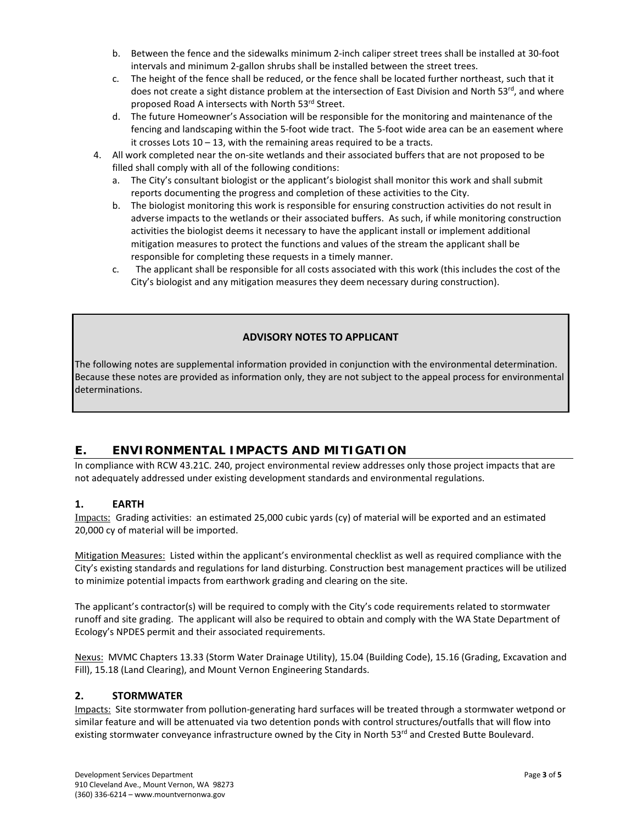- b. Between the fence and the sidewalks minimum 2-inch caliper street trees shall be installed at 30-foot intervals and minimum 2-gallon shrubs shall be installed between the street trees.
- c. The height of the fence shall be reduced, or the fence shall be located further northeast, such that it does not create a sight distance problem at the intersection of East Division and North 53<sup>rd</sup>, and where proposed Road A intersects with North 53rd Street.
- d. The future Homeowner's Association will be responsible for the monitoring and maintenance of the fencing and landscaping within the 5-foot wide tract. The 5-foot wide area can be an easement where it crosses Lots 10 – 13, with the remaining areas required to be a tracts.
- 4. All work completed near the on-site wetlands and their associated buffers that are not proposed to be filled shall comply with all of the following conditions:
	- a. The City's consultant biologist or the applicant's biologist shall monitor this work and shall submit reports documenting the progress and completion of these activities to the City.
	- b. The biologist monitoring this work is responsible for ensuring construction activities do not result in adverse impacts to the wetlands or their associated buffers. As such, if while monitoring construction activities the biologist deems it necessary to have the applicant install or implement additional mitigation measures to protect the functions and values of the stream the applicant shall be responsible for completing these requests in a timely manner.
	- c. The applicant shall be responsible for all costs associated with this work (this includes the cost of the City's biologist and any mitigation measures they deem necessary during construction).

#### **ADVISORY NOTES TO APPLICANT**

The following notes are supplemental information provided in conjunction with the environmental determination. Because these notes are provided as information only, they are not subject to the appeal process for environmental determinations.

### **E. ENVIRONMENTAL IMPACTS AND MITIGATION**

In compliance with RCW 43.21C. 240, project environmental review addresses only those project impacts that are not adequately addressed under existing development standards and environmental regulations.

#### **1. EARTH**

Impacts: Grading activities: an estimated 25,000 cubic yards (cy) of material will be exported and an estimated 20,000 cy of material will be imported.

Mitigation Measures: Listed within the applicant's environmental checklist as well as required compliance with the City's existing standards and regulations for land disturbing. Construction best management practices will be utilized to minimize potential impacts from earthwork grading and clearing on the site.

The applicant's contractor(s) will be required to comply with the City's code requirements related to stormwater runoff and site grading. The applicant will also be required to obtain and comply with the WA State Department of Ecology's NPDES permit and their associated requirements.

Nexus: MVMC Chapters 13.33 (Storm Water Drainage Utility), 15.04 (Building Code), 15.16 (Grading, Excavation and Fill), 15.18 (Land Clearing), and Mount Vernon Engineering Standards.

#### **2. STORMWATER**

Impacts: Site stormwater from pollution-generating hard surfaces will be treated through a stormwater wetpond or similar feature and will be attenuated via two detention ponds with control structures/outfalls that will flow into existing stormwater conveyance infrastructure owned by the City in North 53<sup>rd</sup> and Crested Butte Boulevard.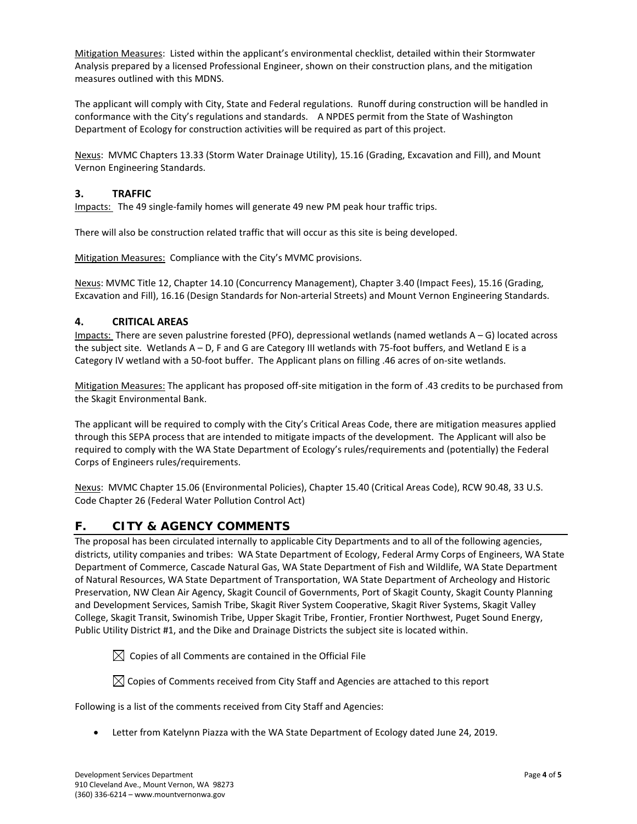Mitigation Measures: Listed within the applicant's environmental checklist, detailed within their Stormwater Analysis prepared by a licensed Professional Engineer, shown on their construction plans, and the mitigation measures outlined with this MDNS.

The applicant will comply with City, State and Federal regulations. Runoff during construction will be handled in conformance with the City's regulations and standards. A NPDES permit from the State of Washington Department of Ecology for construction activities will be required as part of this project.

Nexus: MVMC Chapters 13.33 (Storm Water Drainage Utility), 15.16 (Grading, Excavation and Fill), and Mount Vernon Engineering Standards.

#### **3. TRAFFIC**

Impacts: The 49 single-family homes will generate 49 new PM peak hour traffic trips.

There will also be construction related traffic that will occur as this site is being developed.

Mitigation Measures: Compliance with the City's MVMC provisions.

Nexus: MVMC Title 12, Chapter 14.10 (Concurrency Management), Chapter 3.40 (Impact Fees), 15.16 (Grading, Excavation and Fill), 16.16 (Design Standards for Non-arterial Streets) and Mount Vernon Engineering Standards.

#### **4. CRITICAL AREAS**

Impacts: There are seven palustrine forested (PFO), depressional wetlands (named wetlands A – G) located across the subject site. Wetlands A – D, F and G are Category III wetlands with 75-foot buffers, and Wetland E is a Category IV wetland with a 50-foot buffer. The Applicant plans on filling .46 acres of on-site wetlands.

Mitigation Measures: The applicant has proposed off-site mitigation in the form of .43 credits to be purchased from the Skagit Environmental Bank.

The applicant will be required to comply with the City's Critical Areas Code, there are mitigation measures applied through this SEPA process that are intended to mitigate impacts of the development. The Applicant will also be required to comply with the WA State Department of Ecology's rules/requirements and (potentially) the Federal Corps of Engineers rules/requirements.

Nexus: MVMC Chapter 15.06 (Environmental Policies), Chapter 15.40 (Critical Areas Code), RCW 90.48, 33 U.S. Code Chapter 26 (Federal Water Pollution Control Act)

### **F. CITY & AGENCY COMMENTS**

The proposal has been circulated internally to applicable City Departments and to all of the following agencies, districts, utility companies and tribes: WA State Department of Ecology, Federal Army Corps of Engineers, WA State Department of Commerce, Cascade Natural Gas, WA State Department of Fish and Wildlife, WA State Department of Natural Resources, WA State Department of Transportation, WA State Department of Archeology and Historic Preservation, NW Clean Air Agency, Skagit Council of Governments, Port of Skagit County, Skagit County Planning and Development Services, Samish Tribe, Skagit River System Cooperative, Skagit River Systems, Skagit Valley College, Skagit Transit, Swinomish Tribe, Upper Skagit Tribe, Frontier, Frontier Northwest, Puget Sound Energy, Public Utility District #1, and the Dike and Drainage Districts the subject site is located within.

 $\boxtimes$  Copies of all Comments are contained in the Official File

 $\boxtimes$  Copies of Comments received from City Staff and Agencies are attached to this report

Following is a list of the comments received from City Staff and Agencies:

• Letter from Katelynn Piazza with the WA State Department of Ecology dated June 24, 2019.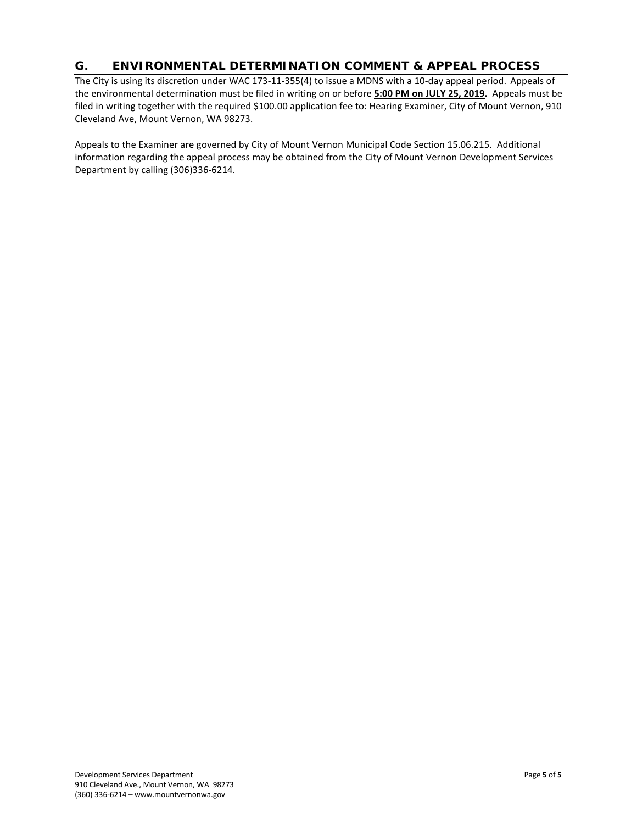### **G. ENVIRONMENTAL DETERMINATION COMMENT & APPEAL PROCESS**

The City is using its discretion under WAC 173-11-355(4) to issue a MDNS with a 10-day appeal period.Appeals of the environmental determination must be filed in writing on or before **5:00 PM on JULY 25, 2019.** Appeals must be filed in writing together with the required \$100.00 application fee to: Hearing Examiner, City of Mount Vernon, 910 Cleveland Ave, Mount Vernon, WA 98273.

Appeals to the Examiner are governed by City of Mount Vernon Municipal Code Section 15.06.215. Additional information regarding the appeal process may be obtained from the City of Mount Vernon Development Services Department by calling (306)336-6214.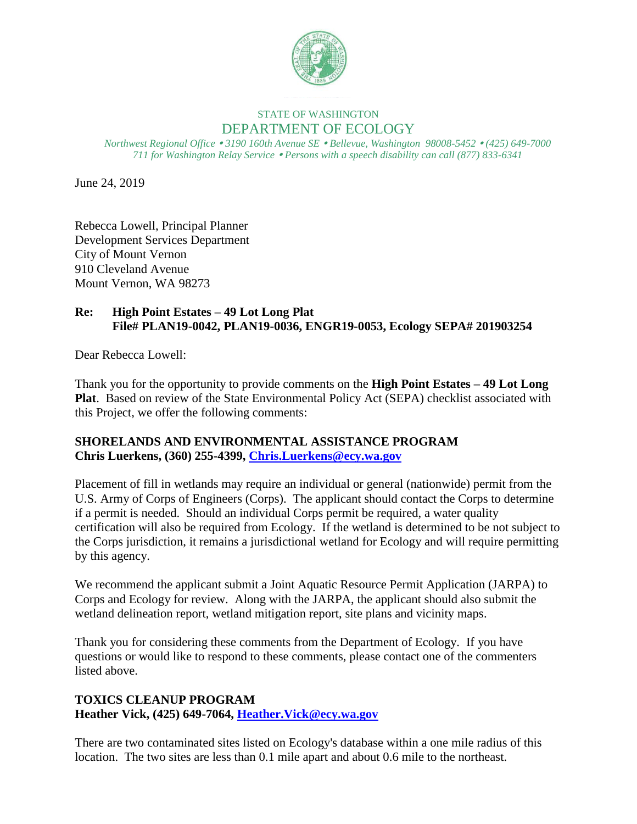

# STATE OF WASHINGTON DEPARTMENT OF ECOLOGY

*Northwest Regional Office 3190 160th Avenue SE Bellevue, Washington 98008-5452 (425) 649-7000 711 for Washington Relay Service Persons with a speech disability can call (877) 833-6341*

June 24, 2019

Rebecca Lowell, Principal Planner Development Services Department City of Mount Vernon 910 Cleveland Avenue Mount Vernon, WA 98273

# **Re: High Point Estates – 49 Lot Long Plat File# PLAN19-0042, PLAN19-0036, ENGR19-0053, Ecology SEPA# 201903254**

Dear Rebecca Lowell:

Thank you for the opportunity to provide comments on the **High Point Estates – 49 Lot Long Plat**. Based on review of the State Environmental Policy Act (SEPA) checklist associated with this Project, we offer the following comments:

## **SHORELANDS AND ENVIRONMENTAL ASSISTANCE PROGRAM Chris Luerkens, (360) 255-4399, [Chris.Luerkens@ecy.wa.gov](mailto:Chris.Luerkens@ecy.wa.gov)**

Placement of fill in wetlands may require an individual or general (nationwide) permit from the U.S. Army of Corps of Engineers (Corps). The applicant should contact the Corps to determine if a permit is needed. Should an individual Corps permit be required, a water quality certification will also be required from Ecology. If the wetland is determined to be not subject to the Corps jurisdiction, it remains a jurisdictional wetland for Ecology and will require permitting by this agency.

We recommend the applicant submit a Joint Aquatic Resource Permit Application (JARPA) to Corps and Ecology for review. Along with the JARPA, the applicant should also submit the wetland delineation report, wetland mitigation report, site plans and vicinity maps.

Thank you for considering these comments from the Department of Ecology. If you have questions or would like to respond to these comments, please contact one of the commenters listed above.

# **TOXICS CLEANUP PROGRAM Heather Vick, (425) 649-7064, [Heather.Vick@ecy.wa.gov](mailto:Heather.Vick@ecy.wa.gov)**

There are two contaminated sites listed on Ecology's database within a one mile radius of this location. The two sites are less than 0.1 mile apart and about 0.6 mile to the northeast.